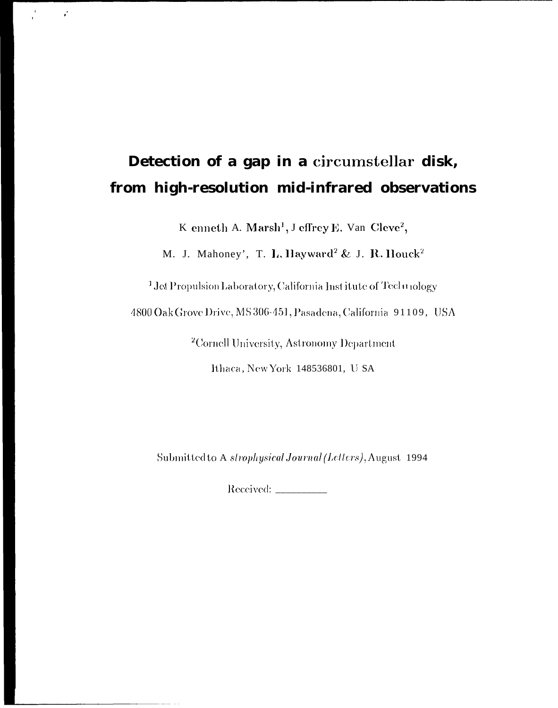# Detection of a gap in a circumstellar disk, from high-resolution mid-infrared observations

 $\frac{1}{\sqrt{2}}$ 

 $\vec{k}$ 

K enneth A. Marsh<sup>1</sup>, J effrey E. Van Cleve<sup>2</sup>,

M. J. Mahoney', T. L. Hayward<sup>2</sup> & J. R. Houck<sup>2</sup>

<sup>1</sup> Jet Propulsion Laboratory, California Institute of Technology

4800 Oak Grove Drive, MS 306-451, Pasadena, California 91109, USA

<sup>2</sup>Cornell University, Astronomy Department

Ithaca, New York 148536801, U SA

Submitted to A strophysical Journal (Letters), August 1994

 $\lbrack \text{Received: } \_$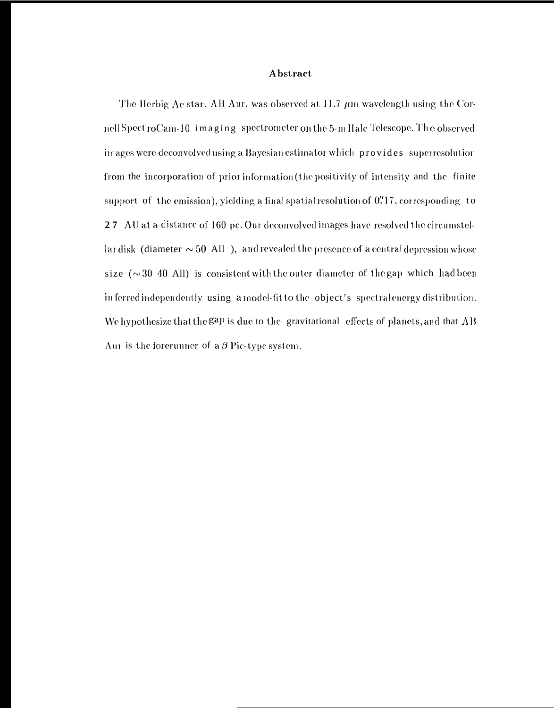### Abstract

The Herbig Ae star, AB Aur, was observed at 11.7  $\mu$ m wavelength using the Cornell Spect roCam-10 imaging spectrometer on the 5-m Hale Telescope. The observed images were deconvolved using a Bayesian estimator which provides superresolution from the incorporation of prior information (the positivity of intensity and the finite support of the emission), yielding a final spatial resolution of 0.717, corresponding to 27 AU at a distance of 160 pc. Our deconvolved images have resolved the circumstellar disk (diameter  $\sim 50$  All), and revealed the presence of a central depression whose size  $(\sim 30$  40 All) is consistent with the outer diameter of the gap which had been inferred independently using a model-fit to the object's spectral energy distribution. We hypothesize that the gap is due to the gravitational effects of planets, and that AB Aur is the forerunner of  $a\beta$  Pic-type system.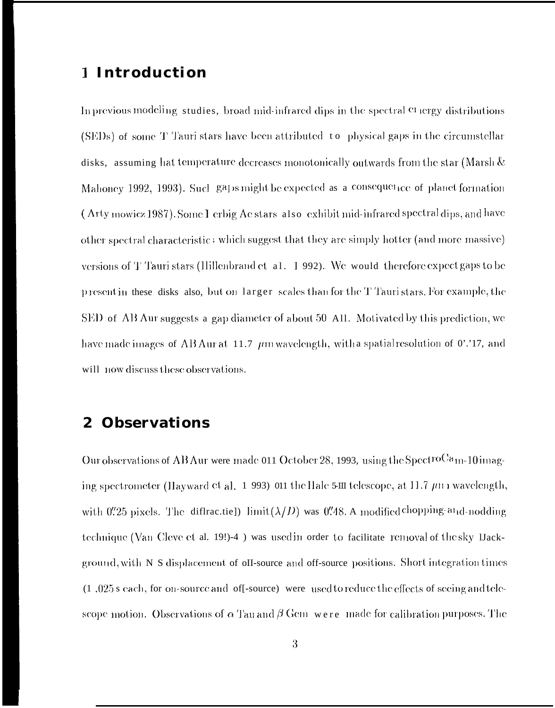## 1 Introduction

In previous modeling studies, broad mid-infrared dips in the spectral et tergy distributions (SEDs) of some T Tauri stars have been attributed to physical gaps in the circumstellar disks. assuming hat temperature decreases monotonically outwards from the star (Marsh  $\&$ Mahoney 1992, 1993). Such gaps might be expected as a consequence of planet formation (Arty mowicz 1987). Some I erbig Ac stars also exhibit mid-infrared spectral dips, and have other spectral characteristic: which suggest that they are simply hotter (and more massive) versions of T Tauri stars (Ilillenbrand et al. 1992). We would therefore expect gaps to be presentin these disks also, but on larger scales than for the T Tauristars. For example, the SED of AB Aur suggests a gap diameter of about 50 All. Motivated by this prediction, we have made images of AB Aur at 11.7  $\mu$ m wavelength, with a spatial resolution of 0'.'17, and will now discuss these observations.

#### **Observations**  $\boldsymbol{2}$

Our observations of AB Aur were made 011 October 28, 1993, using the SpectroCam-10 imaging spectrometer (Hayward et al. 1 993) 011 the Hale 5-III telescope, at 11.7  $\mu$ n m wavelength, with  $0\rlap.{''}25$  pixels. The diffractie]) limit  $(\lambda/D)$  was  $0\rlap.{''}48$ . A modified chopping-and-nodding technique (Van Cleve et al. 19!)-4) was used in order to facilitate removal of the sky Dackground, with N S displacement of oII-source and off-source positions. Short integration times (1.025 s each, for on-source and of [-source] were used to reduce the effects of seeing and telescope motion. Observations of  $\alpha$  Tau and  $\beta$  Gem were made for calibration purposes. The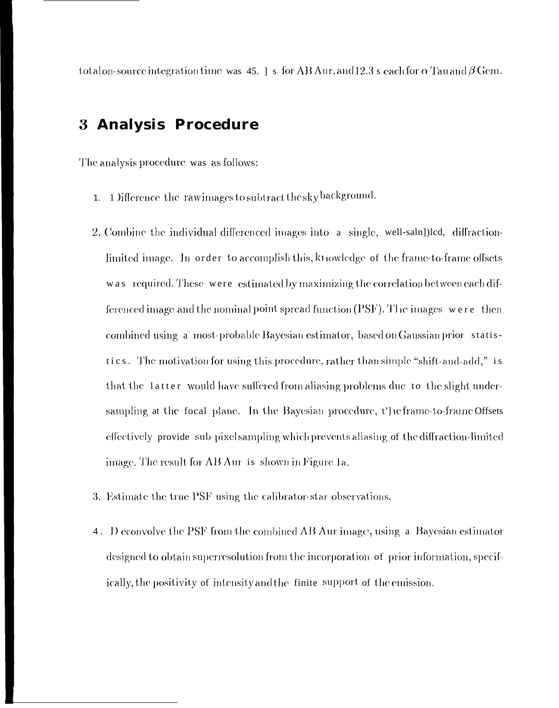total on-source integration time was 45.  $\vert$  s for AB Aur, and 12.3 s each for  $\alpha$  Tau and  $\beta$  Gem.

# 3 Analysis Procedure

The analysis procedure was as follows:

- 1) ifference the raw images to subtract the sky background.  $1.$
- 2. Combine the individual differenced images into a single, well-saln])led, diffractionlimited image. In order to accomplish this, knowledge of the frame-to-frame offsets was required. These were estimated by maximizing the correlation between each differenced image and the nominal point spread function (PSF). The images were then combined using a most-probable Bayesian estimator, based on Gaussian prior statistics. The motivation for using this procedure, rather than simple "shift-and-add," is that the latter would have suffered from aliasing problems due to the slight undersampling at the focal plane. In the Bayesian procedure, t'he frame-to-frame Offsets effectively provide sub-pixel sampling which prevents aliasing of the diffraction-limited image. The result for AB Aur is shown in Figure 1a.
- 3. Estimate the true PSF using the calibrator-star observations.
- 4. Deconvolve the PSF from the combined AB Aur image, using a Bayesian estimator designed to obtain superresolution from the incorporation of prior information, specifically, the positivity of intensity and the finite support of the emission.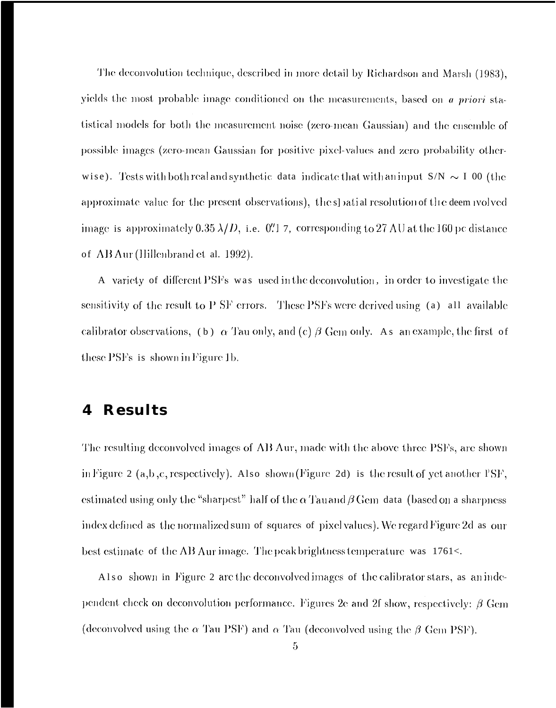The deconvolution technique, described in more detail by Richardson and Marsh (1983), yields the most probable image conditioned on the measurements, based on a priori statistical models for both the measurement noise (zero-mean Gaussian) and the ensemble of possible images (zero-mean Gaussian for positive pixel-values and zero probability otherwise). Tests with both real and synthetic data indicate that with an input  $S/N \sim I$  00 (the approximate value for the present observations), the spatial resolution of the deem wolved image is approximately 0.35  $\lambda/D$ , i.e. 0'' 7, corresponding to 27 AU at the 160 pc distance of AB Aur (Hillenbrand et al. 1992).

A variety of different PSFs was used in the deconvolution, in order to investigate the sensitivity of the result to P SF errors. These PSFs were derived using (a) all available calibrator observations, (b)  $\alpha$  Tau only, and (c)  $\beta$  Gem only. As an example, the first of these PSFs is shown in Figure 1b.

#### **Results** 4

The resulting deconvolved images of AB Aur, made with the above three PSFs, are shown in Figure 2 (a,b,c, respectively). Also shown (Figure 2d) is the result of yet another  $PSF$ , estimated using only the "sharpest" half of the  $\alpha$  Tau and  $\beta$  Gem data (based on a sharpness index defined as the normalized sum of squares of pixel values). We regard Figure 2d as our best estimate of the AB Aur image. The peak brightness temperature was 1761<.

Also shown in Figure 2 are the deconvolved images of the calibrator stars, as an independent check on deconvolution performance. Figures 2e and 2f show, respectively:  $\beta$  Gem (deconvolved using the  $\alpha$  Tau PSF) and  $\alpha$  Tau (deconvolved using the  $\beta$  Gem PSF).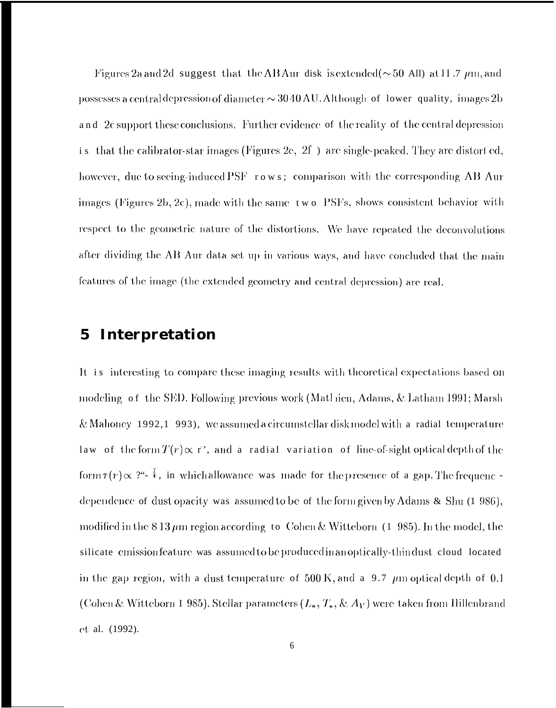Figures 2a and 2d suggest that the AB Aur disk is extended ( $\sim$  50 All) at 11.7  $\mu$ m, and possesses a central depression of diameter  $\sim$  30 40 AU. Although of lower quality, images 2b and 2c support these conclusions. Further evidence of the reality of the central depression that the calibrator-star images (Figures 2e,  $2f$ ) are single-peaked. They are distorted,  $\mathbf{i}$  s however, due to seeing-induced PSF rows; comparison with the corresponding AB Aur images (Figures 2b, 2c), made with the same two PSFs, shows consistent behavior with respect to the geometric nature of the distortions. We have repeated the deconvolutions after dividing the AB Aur data set up in various ways, and have concluded that the main features of the image (the extended geometry and central depression) are real.

#### Interpretation  $\overline{\mathbf{5}}$

It is interesting to compare these imaging results with theoretical expectations based on modeling of the SED. Following previous work (Mathieu, Adams, & Latham 1991; Marsh & Mahoney 1992,1 993), we assumed a circumstellar disk model with a radial temperature law of the form  $T(r) \propto r$ , and a radial variation of line-of-sight optical depth of the form  $\tau(r) \propto 2^{a_1 - \frac{7}{4}}$ , in which allowance was made for the presence of a gap. The frequenc dependence of dust opacity was assumed to be of the form given by Adams  $\&$  Shu (1 986), modified in the 8.13  $\mu$ m region according to Cohen & Witteborn (1.985). In the model, the silicate emission feature was assumed to be produced in an optically-thindust cloud located in the gap region, with a dust temperature of 500 K, and a 9.7  $\mu$ m optical depth of 0.1 (Cohen & Witteborn I 985). Stellar parameters  $(L_*, T_*, \& A_V)$  were taken from Hillenbrand ct al. (1992).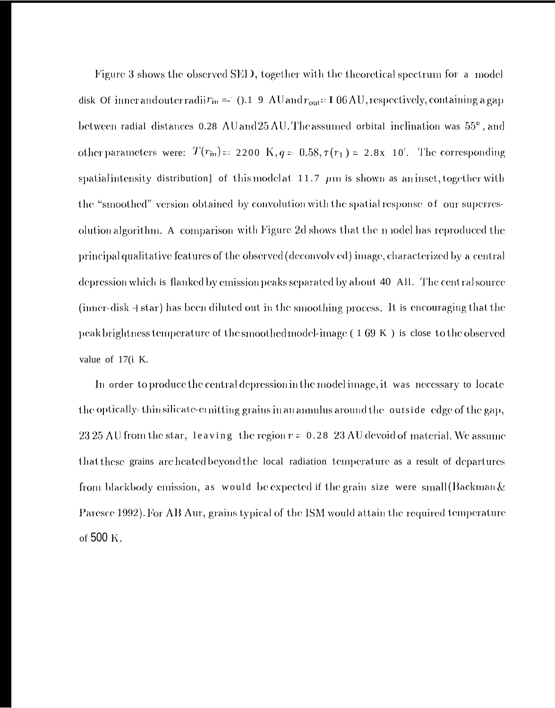Figure 3 shows the observed SED, together with the theoretical spectrum for a model disk Of inner and outer radii $r_{\text{in}} = (0.19 \text{ AU})$  and  $r_{\text{out}} = 106 \text{ AU}$ , respectively, containing a gap between radial distances 0.28 AU and 25 AU. The assumed orbital inclination was 55°, and other parameters were:  $T(r_{\rm in}) = 2200 \text{ K}, q = 0.58, \tau(r_1) = 2.8 \text{x} 10^7$ . The corresponding spatialintensity distribution] of this model at  $11.7 \ \mu m$  is shown as an inset, together with the "smoothed" version obtained by convolution with the spatial response of our superresolution algorithm. A comparison with Figure 2d shows that the n iddel has reproduced the principal qualitative features of the observed (deconvolved) image, characterized by a central depression which is flanked by emission peaks separated by about 40 All. The cent ral source (inner-disk  $+$  star) has been diluted out in the smoothing process. It is encouraging that the peak brightness temperature of the smoothed model-image  $(169 K)$  is close to the observed value of 17(i K.

In order to produce the central depression in the model image, it was necessary to locate the optically-thin silicate-emitting grains in an annulus around the outside edge of the gap, 23.25 AU from the star, leaving the region  $r = 0.28$  23 AU devoid of material. We assume that these grains are heated beyond the local radiation temperature as a result of departures from blackbody emission, as would be expected if the grain size were small (Backman  $\&$ Paresce 1992). For AB Aur, grains typical of the ISM would attain the required temperature of 500 K.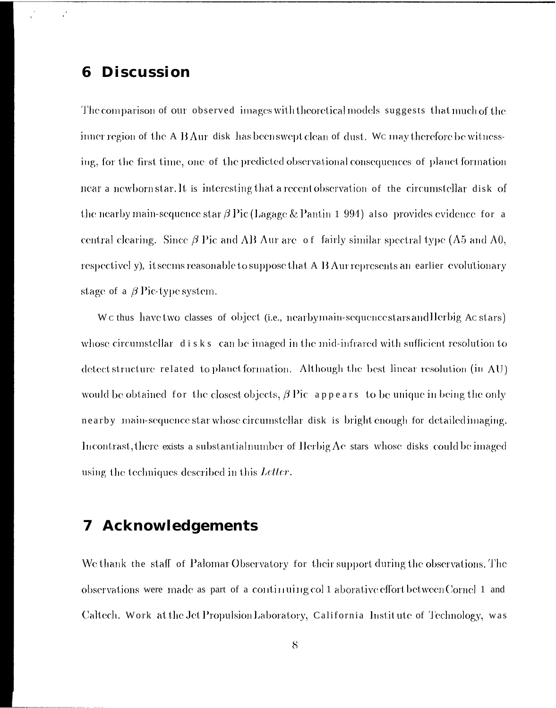#### **Discussion** 6

 $\mathcal{C}$ 

The comparison of our observed images with theoretical models suggests that much of the inner region of the A B Aur disk has been swept clean of dust. We may therefore be witnessing, for the first time, one of the predicted observational consequences of planet formation near a newborn star. It is interesting that a recent observation of the circumstellar disk of the nearby main-sequence star  $\beta$  Pic (Lagage & Pantin 1 994) also provides evidence for a central clearing. Since  $\beta$  Pic and AB Aur are of fairly similar spectral type (A5 and A0, respectivel y), it seems reasonable to suppose that A B Aur represents an earlier evolutionary stage of a  $\beta$  Pic-type system.

We thus have two classes of object (i.e., nearby main-sequence stars and Herbig Ac stars) whose circumstellar disks can be imaged in the mid-infrared with sufficient resolution to detect structure related to planet formation. Although the best linear resolution (in AU) would be obtained for the closest objects,  $\beta$  Pic appears to be unique in being the only nearby main-sequence star whose circumstellar disk is bright enough for detailed imaging. Incontrast, there exists a substantialnumber of Herbig Ae stars whose disks could be imaged using the techniques described in this Letter.

#### **Acknowledgements** 7

We thank the staff of Palomar Observatory for their support during the observations. The observations were made as part of a continuing col 1 aborative effort between Cornel 1 and Caltech. Work at the Jet Propulsion Laboratory, California Institute of Technology, was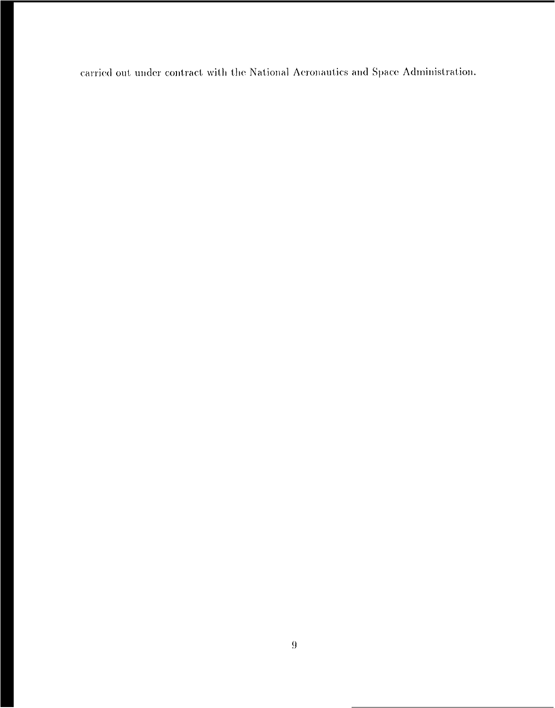carried out under contract with the National Aeronautics and Space Administration.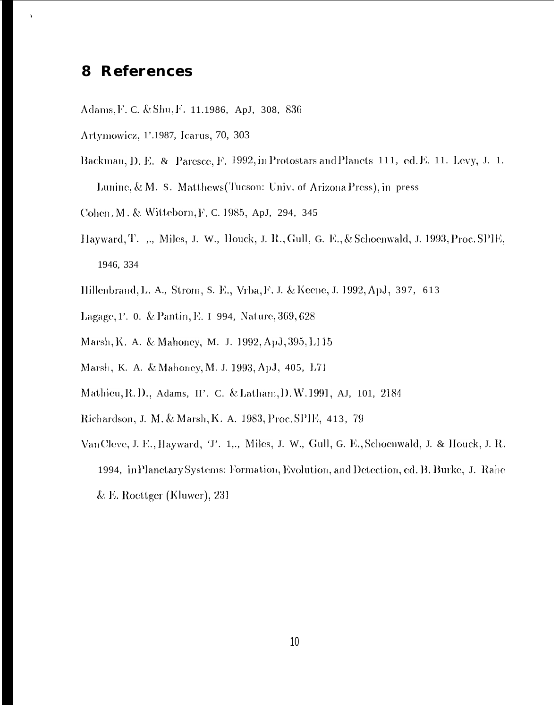## 8 References

 $\lambda$ 

- Adams, F. C. & Shu, F. 11.1986, ApJ, 308, 836
- Artymowicz, 1'.1987, Icarus, 70, 303
- Backman, D. E. & Paresce, F. 1992, in Protostars and Planets 111, ed. E. 11. Levy, J. 1. Lunine, & M. S. Matthews (Tucson: Univ. of Arizona Press), in press
- Cohen, M. & Witteborn, F. C. 1985, ApJ, 294, 345
- Hayward, T. ", Miles, J. W., Houck, J. R., Gull, G. E., & Schoenwald, J. 1993, Proc. SPIE, 1946, 334
- Hillenbrand, L. A., Strom, S. E., Vrba, F. J. & Keene, J. 1992, ApJ, 397, 613
- Lagage, 1'. 0. & Pantin, E. 1 994, Nature, 369, 628
- Marsh, K. A. & Mahoney, M. J. 1992, ApJ, 395, L115
- Marsh, K. A. & Mahoney, M. J. 1993, ApJ, 405, L71
- Mathieu, R.D., Adams, II'. C. & Latham, D.W. 1991, AJ, 101, 2184
- Richardson, J. M. & Marsh, K. A. 1983, Proc. SPIE, 413, 79
- Van Cleve, J. E., Hayward, 'J'. 1,., Miles, J. W., Gull, G. E., Schoenwald, J. & Houck, J. R. 1994, in Planctary Systems: Formation, Evolution, and Detection, ed. B. Burke, J. Rahe & E. Roettger (Kluwer),  $231$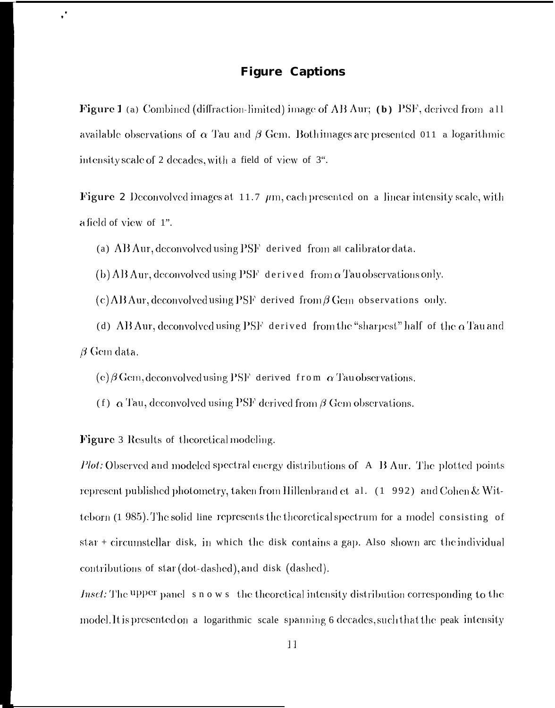### **Figure Captions**

**Figure 1** (a) Combined (diffraction-limited) image of AB Aur; (b) PSF, derived from all available observations of  $\alpha$  Tau and  $\beta$  Gem. Both images are presented 011 a logarithmic intensity scale of 2 decades, with a field of view of 3".

**Figure 2** Deconvolved images at 11.7  $\mu$ m, each presented on a linear intensity scale, with a field of view of 1".

(a) AB Aur, deconvolved using PSF derived from all calibrator data.

(b) AB Aur, deconvolved using  $PSF$  derived from  $\alpha$  Tau observations only.

(c) AB Aur, deconvolved using PSF derived from  $\beta$  Gem observations only.

(d) AB Aur, deconvolved using PSF derived from the "sharpest" half of the  $\alpha$  Tau and  $\beta$  Gem data.

(e)  $\beta$  Gem, deconvolved using PSF derived from  $\alpha$  Tau observations.

(f)  $\alpha$  Tau, deconvolved using PSF derived from  $\beta$  Gem observations.

Figure 3 Results of theoretical modeling.

 $\ddot{\phantom{0}}$ 

*Plot:* Observed and modeled spectral energy distributions of A B Aur. The plotted points represent published photometry, taken from Hillenbrand et al. (1 992) and Cohen & Witteborn (1 985). The solid line represents the theoretical spectrum for a model consisting of star + circumstellar disk, in which the disk contains a gap. Also shown are the individual contributions of star (dot-dashed), and disk (dashed).

*Inset:* The upper panel s n o w s the theoretical intensity distribution corresponding to the model. It is presented on a logarithmic scale spanning 6 decades, such that the peak intensity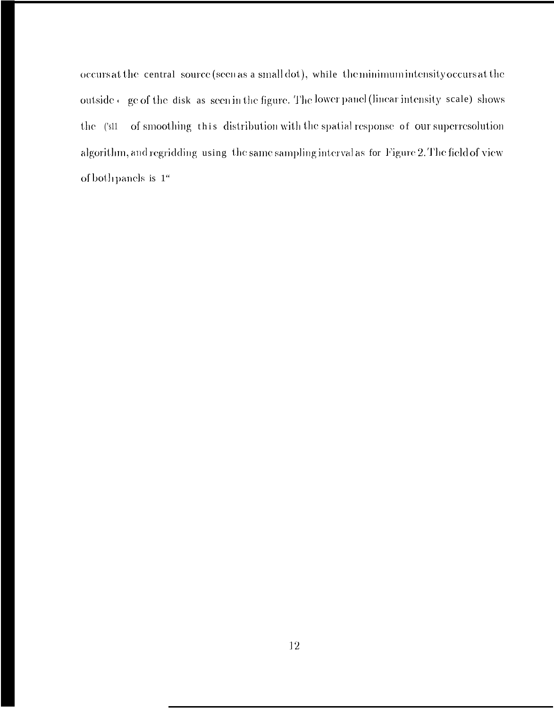occurs at the central source (seen as a small dot), while the minimum intensity occurs at the outside e ge of the disk as seen in the figure. The lower panel (linear intensity scale) shows  $the$   $(s11)$ of smoothing this distribution with the spatial response of our superresolution algorithm, and regridding using the same sampling interval as for Figure 2. The field of view of both panels is  $\,1^{\omega}$